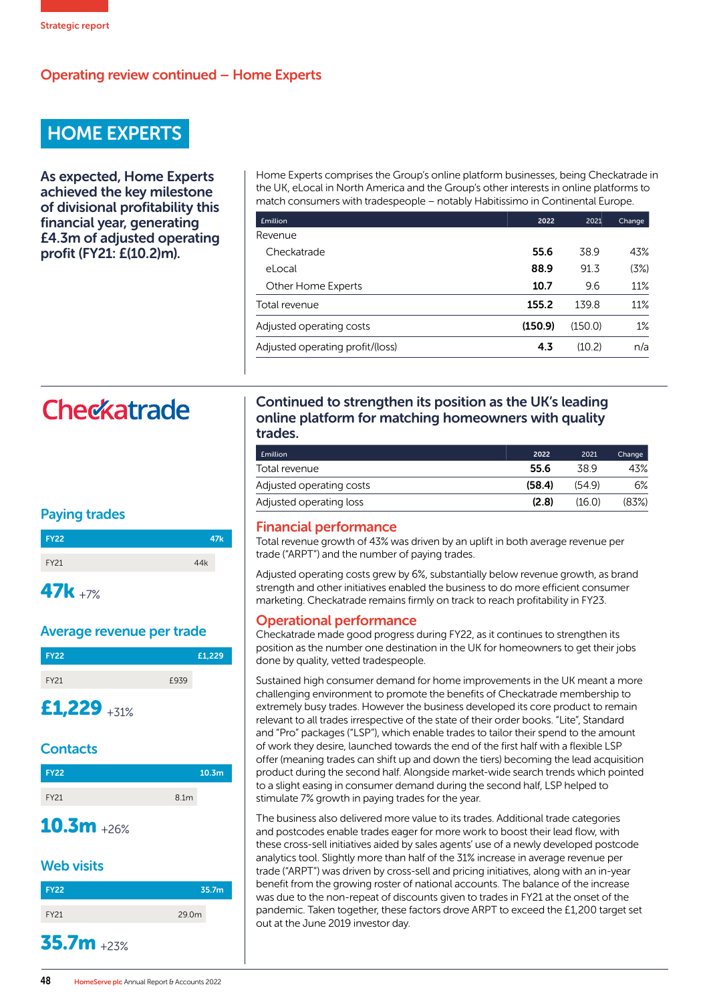# Operating review continued – Home Experts

# HOME EXPERTS

As expected, Home Experts achieved the key milestone of divisional profitability this financial year, generating £4.3m of adjusted operating profit (FY21: £(10.2)m).

Home Experts comprises the Group's online platform businesses, being Checkatrade in the UK, eLocal in North America and the Group's other interests in online platforms to match consumers with tradespeople – notably Habitissimo in Continental Europe.

| <b>£million</b>                  | 2022    | 2021    | Change |
|----------------------------------|---------|---------|--------|
| Revenue                          |         |         |        |
| Checkatrade                      | 55.6    | 38.9    | 43%    |
| eLocal                           | 88.9    | 91.3    | (3%)   |
| Other Home Experts               | 10.7    | 9.6     | 11%    |
| Total revenue                    | 155.2   | 139.8   | 11%    |
| Adjusted operating costs         | (150.9) | (150.0) | 1%     |
| Adjusted operating profit/(loss) | 4.3     | (10.2)  | n/a    |

# Checkatrade

## Paying trades

| <b>FY22</b> | 47 <sub>k</sub> |
|-------------|-----------------|
| <b>FY21</b> | 44k             |
|             |                 |

# 47k +7%

#### Average revenue per trade

| <b>FY22</b> |      | £1,229 |
|-------------|------|--------|
| <b>FY21</b> | £939 |        |

# £1,229  $+31\%$

## **Contacts**

| <b>FY22</b> |                  | 10.3 <sub>m</sub> |
|-------------|------------------|-------------------|
| <b>FY21</b> | 8.1 <sub>m</sub> |                   |

# $10.3m + 26%$

## Web visits

| <b>FY22</b>  | 35.7m             |
|--------------|-------------------|
| FY21         | 29.0 <sub>m</sub> |
| $35.7m$ +23% |                   |

#### Continued to strengthen its position as the UK's leading online platform for matching homeowners with quality trades.

| <b>Emillion</b>          | 2022   | 2021   | Change |
|--------------------------|--------|--------|--------|
| Total revenue            | 55.6   | 389    | 43%    |
| Adjusted operating costs | (58.4) | (549)  | 6%     |
| Adjusted operating loss  | (2.8)  | (16.0) | (83%)  |

### Financial performance

Total revenue growth of 43% was driven by an uplift in both average revenue per trade ("ARPT") and the number of paying trades.

Adjusted operating costs grew by 6%, substantially below revenue growth, as brand strength and other initiatives enabled the business to do more efficient consumer marketing. Checkatrade remains firmly on track to reach profitability in FY23.

### Operational performance

Checkatrade made good progress during FY22, as it continues to strengthen its position as the number one destination in the UK for homeowners to get their jobs done by quality, vetted tradespeople.

Sustained high consumer demand for home improvements in the UK meant a more challenging environment to promote the benefits of Checkatrade membership to extremely busy trades. However the business developed its core product to remain relevant to all trades irrespective of the state of their order books. "Lite", Standard and "Pro" packages ("LSP"), which enable trades to tailor their spend to the amount of work they desire, launched towards the end of the first half with a flexible LSP offer (meaning trades can shift up and down the tiers) becoming the lead acquisition product during the second half. Alongside market-wide search trends which pointed to a slight easing in consumer demand during the second half, LSP helped to stimulate 7% growth in paying trades for the year.

The business also delivered more value to its trades. Additional trade categories and postcodes enable trades eager for more work to boost their lead flow, with these cross-sell initiatives aided by sales agents' use of a newly developed postcode analytics tool. Slightly more than half of the 31% increase in average revenue per trade ("ARPT") was driven by cross-sell and pricing initiatives, along with an in-year benefit from the growing roster of national accounts. The balance of the increase was due to the non-repeat of discounts given to trades in FY21 at the onset of the pandemic. Taken together, these factors drove ARPT to exceed the £1,200 target set out at the June 2019 investor day.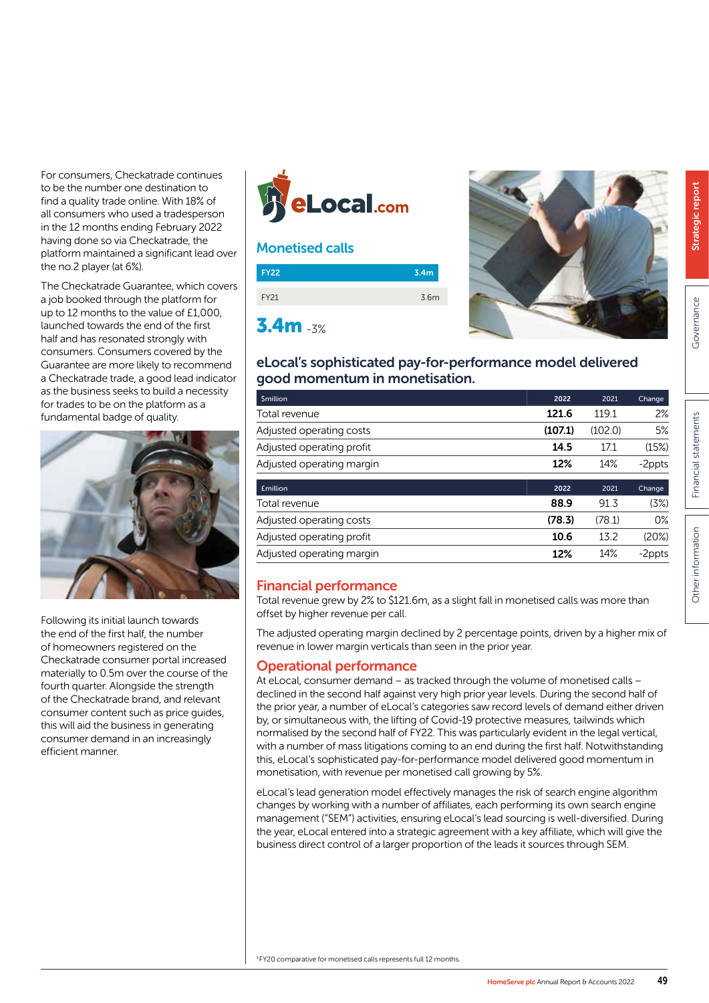For consumers, Checkatrade continues to be the number one destination to find a quality trade online. With 18% of all consumers who used a tradesperson in the 12 months ending February 2022 having done so via Checkatrade, the platform maintained a significant lead over the no.2 player (at 6%).

The Checkatrade Guarantee, which covers a job booked through the platform for up to 12 months to the value of £1,000, launched towards the end of the first half and has resonated strongly with consumers. Consumers covered by the Guarantee are more likely to recommend a Checkatrade trade, a good lead indicator as the business seeks to build a necessity for trades to be on the platform as a fundamental badge of quality.



Following its initial launch towards the end of the first half, the number of homeowners registered on the Checkatrade consumer portal increased materially to 0.5m over the course of the fourth quarter. Alongside the strength of the Checkatrade brand, and relevant consumer content such as price guides, this will aid the business in generating consumer demand in an increasingly efficient manner.



## Monetised calls





# eLocal's sophisticated pay-for-performance model delivered good momentum in monetisation.

| <b><i><u>Smillion</u></i></b> | 2022    | 2021    | Change |
|-------------------------------|---------|---------|--------|
| Total revenue                 | 121.6   | 119.1   | 2%     |
| Adjusted operating costs      | (107.1) | (102.0) | 5%     |
| Adjusted operating profit     | 14.5    | 17.1    | (15%)  |
| Adjusted operating margin     | 12%     | 14%     | -2ppts |
| <b>£million</b>               | 2022    | 2021    | Change |
| Total revenue                 | 88.9    | 91.3    | (3%)   |
| Adjusted operating costs      | (78.3)  | (78.1)  | $0\%$  |
| Adjusted operating profit     | 10.6    | 13.2    | (20%)  |
|                               |         |         |        |

### Financial performance

Total revenue grew by 2% to \$121.6m, as a slight fall in monetised calls was more than offset by higher revenue per call.

The adjusted operating margin declined by 2 percentage points, driven by a higher mix of revenue in lower margin verticals than seen in the prior year.

### Operational performance

At eLocal, consumer demand – as tracked through the volume of monetised calls – declined in the second half against very high prior year levels. During the second half of the prior year, a number of eLocal's categories saw record levels of demand either driven by, or simultaneous with, the lifting of Covid-19 protective measures, tailwinds which normalised by the second half of FY22. This was particularly evident in the legal vertical, with a number of mass litigations coming to an end during the first half. Notwithstanding this, eLocal's sophisticated pay-for-performance model delivered good momentum in monetisation, with revenue per monetised call growing by 5%.

eLocal's lead generation model effectively manages the risk of search engine algorithm changes by working with a number of affiliates, each performing its own search engine management ("SEM") activities, ensuring eLocal's lead sourcing is well-diversified. During the year, eLocal entered into a strategic agreement with a key affiliate, which will give the business direct control of a larger proportion of the leads it sources through SEM.